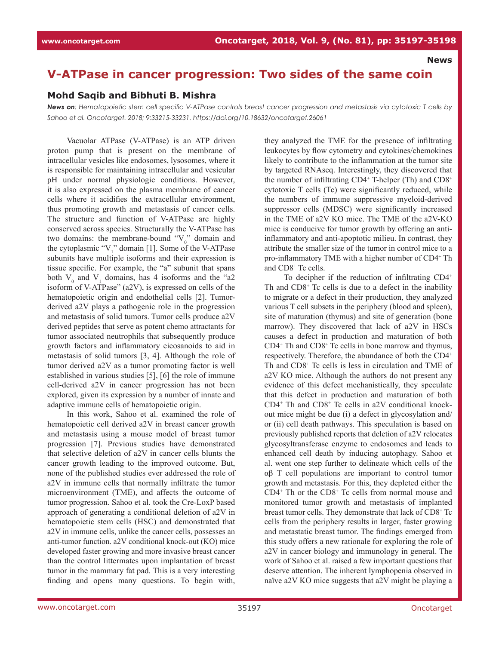**News**

## **V-ATPase in cancer progression: Two sides of the same coin**

## **Mohd Saqib and Bibhuti B. Mishra**

*News on: Hematopoietic stem cell specific V-ATPase controls breast cancer progression and metastasis via cytotoxic T cells by Sahoo et al. Oncotarget. 2018; 9:33215-33231. https://doi.org/10.18632/oncotarget.26061*

Vacuolar ATPase (V-ATPase) is an ATP driven proton pump that is present on the membrane of intracellular vesicles like endosomes, lysosomes, where it is responsible for maintaining intracellular and vesicular pH under normal physiologic conditions. However, it is also expressed on the plasma membrane of cancer cells where it acidifies the extracellular environment, thus promoting growth and metastasis of cancer cells. The structure and function of V-ATPase are highly conserved across species. Structurally the V-ATPase has two domains: the membrane-bound " $V_0$ " domain and the cytoplasmic " $V_1$ " domain [1]. Some of the V-ATPase subunits have multiple isoforms and their expression is tissue specific. For example, the "a" subunit that spans both  $V_0$  and  $V_1$  domains, has 4 isoforms and the "a2 isoform of V-ATPase" (a2V), is expressed on cells of the hematopoietic origin and endothelial cells [2]. Tumorderived a2V plays a pathogenic role in the progression and metastasis of solid tumors. Tumor cells produce a2V derived peptides that serve as potent chemo attractants for tumor associated neutrophils that subsequently produce growth factors and inflammatory eicosanoids to aid in metastasis of solid tumors [3, 4]. Although the role of tumor derived a2V as a tumor promoting factor is well established in various studies [5], [6] the role of immune cell-derived a2V in cancer progression has not been explored, given its expression by a number of innate and adaptive immune cells of hematopoietic origin.

In this work, Sahoo et al. examined the role of hematopoietic cell derived a2V in breast cancer growth and metastasis using a mouse model of breast tumor progression [7]. Previous studies have demonstrated that selective deletion of a2V in cancer cells blunts the cancer growth leading to the improved outcome. But, none of the published studies ever addressed the role of a2V in immune cells that normally infiltrate the tumor microenvironment (TME), and affects the outcome of tumor progression. Sahoo et al. took the Cre-LoxP based approach of generating a conditional deletion of a2V in hematopoietic stem cells (HSC) and demonstrated that a2V in immune cells, unlike the cancer cells, possesses an anti-tumor function. a2V conditional knock-out (KO) mice developed faster growing and more invasive breast cancer than the control littermates upon implantation of breast tumor in the mammary fat pad. This is a very interesting finding and opens many questions. To begin with, they analyzed the TME for the presence of infiltrating leukocytes by flow cytometry and cytokines/chemokines likely to contribute to the inflammation at the tumor site by targeted RNAseq. Interestingly, they discovered that the number of infiltrating CD4<sup>+</sup> T-helper (Th) and CD8<sup>+</sup> cytotoxic T cells (Tc) were significantly reduced, while the numbers of immune suppressive myeloid-derived suppressor cells (MDSC) were significantly increased in the TME of a2V KO mice. The TME of the a2V-KO mice is conducive for tumor growth by offering an antiinflammatory and anti-apoptotic milieu. In contrast, they attribute the smaller size of the tumor in control mice to a pro-inflammatory TME with a higher number of CD4<sup>+</sup> Th and CD8<sup>+</sup> Tc cells.

To decipher if the reduction of infiltrating CD4<sup>+</sup> Th and CD8<sup>+</sup> Tc cells is due to a defect in the inability to migrate or a defect in their production, they analyzed various T cell subsets in the periphery (blood and spleen), site of maturation (thymus) and site of generation (bone marrow). They discovered that lack of a2V in HSCs causes a defect in production and maturation of both CD4<sup>+</sup> Th and CD8<sup>+</sup> Tc cells in bone marrow and thymus, respectively. Therefore, the abundance of both the CD4<sup>+</sup> Th and CD8<sup>+</sup> Tc cells is less in circulation and TME of a2V KO mice. Although the authors do not present any evidence of this defect mechanistically, they speculate that this defect in production and maturation of both  $CD4$ <sup>+</sup> Th and  $CD8$ <sup>+</sup> Tc cells in a2V conditional knockout mice might be due (i) a defect in glycosylation and/ or (ii) cell death pathways. This speculation is based on previously published reports that deletion of a2V relocates glycosyltransferase enzyme to endosomes and leads to enhanced cell death by inducing autophagy. Sahoo et al. went one step further to delineate which cells of the αβ T cell populations are important to control tumor growth and metastasis. For this, they depleted either the CD4<sup>+</sup> Th or the CD8<sup>+</sup> Tc cells from normal mouse and monitored tumor growth and metastasis of implanted breast tumor cells. They demonstrate that lack of CD8+Tc cells from the periphery results in larger, faster growing and metastatic breast tumor. The findings emerged from this study offers a new rationale for exploring the role of a2V in cancer biology and immunology in general. The work of Sahoo et al. raised a few important questions that deserve attention. The inherent lymphopenia observed in naïve a2V KO mice suggests that a2V might be playing a